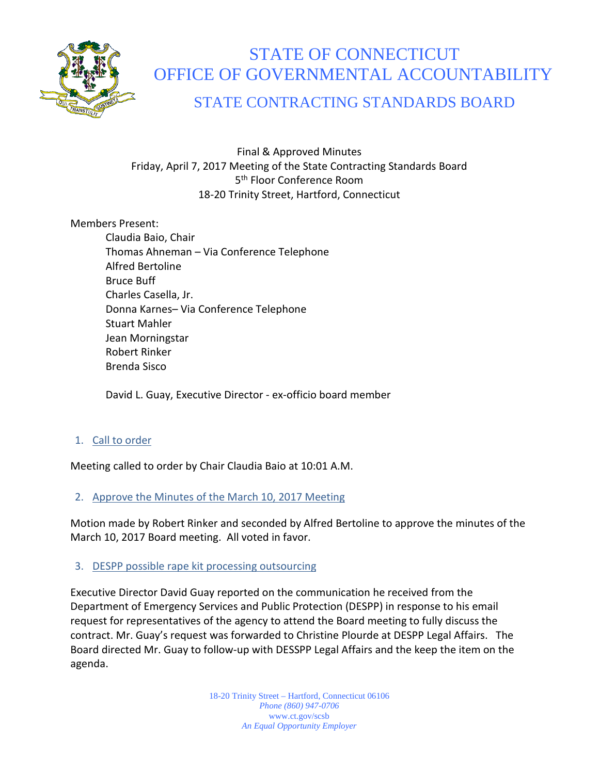

# STATE OF CONNECTICUT OFFICE OF GOVERNMENTAL ACCOUNTABILITY

# STATE CONTRACTING STANDARDS BOARD

Final & Approved Minutes Friday, April 7, 2017 Meeting of the State Contracting Standards Board 5<sup>th</sup> Floor Conference Room 18-20 Trinity Street, Hartford, Connecticut

Members Present:

Claudia Baio, Chair Thomas Ahneman – Via Conference Telephone Alfred Bertoline Bruce Buff Charles Casella, Jr. Donna Karnes– Via Conference Telephone Stuart Mahler Jean Morningstar Robert Rinker Brenda Sisco

David L. Guay, Executive Director - ex-officio board member

# 1. Call to order

Meeting called to order by Chair Claudia Baio at 10:01 A.M.

# 2. Approve the Minutes of the March 10, 2017 Meeting

Motion made by Robert Rinker and seconded by Alfred Bertoline to approve the minutes of the March 10, 2017 Board meeting. All voted in favor.

#### 3. DESPP possible rape kit processing outsourcing

Executive Director David Guay reported on the communication he received from the Department of Emergency Services and Public Protection (DESPP) in response to his email request for representatives of the agency to attend the Board meeting to fully discuss the contract. Mr. Guay's request was forwarded to Christine Plourde at DESPP Legal Affairs. The Board directed Mr. Guay to follow-up with DESSPP Legal Affairs and the keep the item on the agenda.

> 18-20 Trinity Street – Hartford, Connecticut 06106 *Phone (860) 947-0706*  www.ct.gov/scsb *An Equal Opportunity Employer*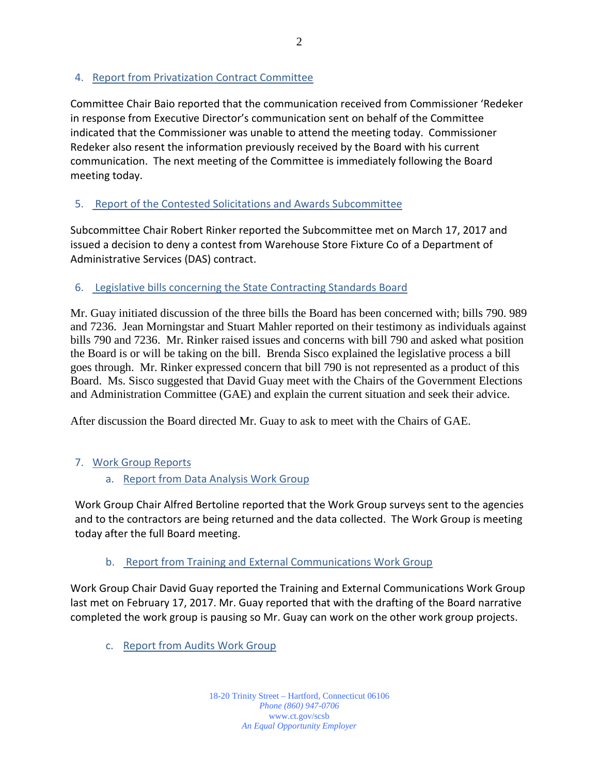# 4. Report from Privatization Contract Committee

Committee Chair Baio reported that the communication received from Commissioner 'Redeker in response from Executive Director's communication sent on behalf of the Committee indicated that the Commissioner was unable to attend the meeting today. Commissioner Redeker also resent the information previously received by the Board with his current communication. The next meeting of the Committee is immediately following the Board meeting today.

# 5. Report of the Contested Solicitations and Awards Subcommittee

Subcommittee Chair Robert Rinker reported the Subcommittee met on March 17, 2017 and issued a decision to deny a contest from Warehouse Store Fixture Co of a Department of Administrative Services (DAS) contract.

# 6. Legislative bills concerning the State Contracting Standards Board

Mr. Guay initiated discussion of the three bills the Board has been concerned with; bills 790. 989 and 7236. Jean Morningstar and Stuart Mahler reported on their testimony as individuals against bills 790 and 7236. Mr. Rinker raised issues and concerns with bill 790 and asked what position the Board is or will be taking on the bill. Brenda Sisco explained the legislative process a bill goes through. Mr. Rinker expressed concern that bill 790 is not represented as a product of this Board. Ms. Sisco suggested that David Guay meet with the Chairs of the Government Elections and Administration Committee (GAE) and explain the current situation and seek their advice.

After discussion the Board directed Mr. Guay to ask to meet with the Chairs of GAE.

# 7. Work Group Reports

a. Report from Data Analysis Work Group

Work Group Chair Alfred Bertoline reported that the Work Group surveys sent to the agencies and to the contractors are being returned and the data collected. The Work Group is meeting today after the full Board meeting.

# b. Report from Training and External Communications Work Group

Work Group Chair David Guay reported the Training and External Communications Work Group last met on February 17, 2017. Mr. Guay reported that with the drafting of the Board narrative completed the work group is pausing so Mr. Guay can work on the other work group projects.

c. Report from Audits Work Group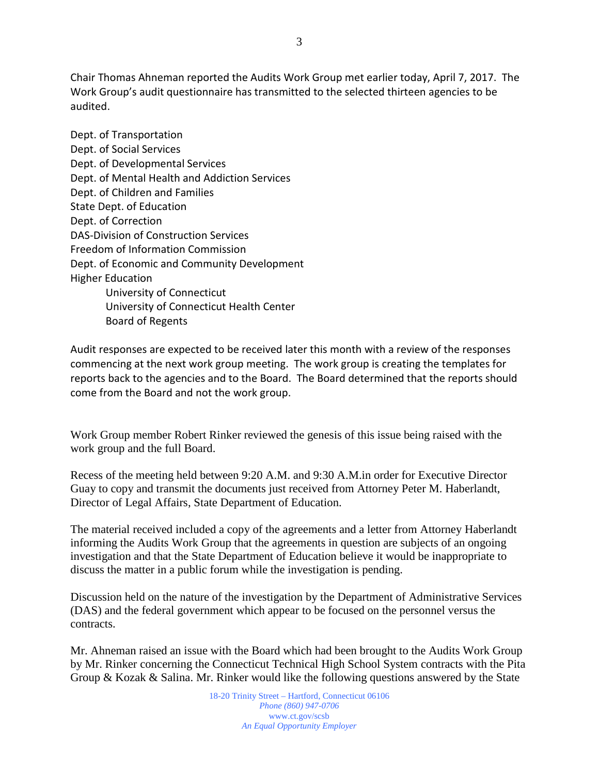Chair Thomas Ahneman reported the Audits Work Group met earlier today, April 7, 2017. The Work Group's audit questionnaire has transmitted to the selected thirteen agencies to be audited.

Dept. of Transportation Dept. of Social Services Dept. of Developmental Services Dept. of Mental Health and Addiction Services Dept. of Children and Families State Dept. of Education Dept. of Correction DAS-Division of Construction Services Freedom of Information Commission Dept. of Economic and Community Development Higher Education University of Connecticut University of Connecticut Health Center Board of Regents

Audit responses are expected to be received later this month with a review of the responses commencing at the next work group meeting. The work group is creating the templates for reports back to the agencies and to the Board. The Board determined that the reports should come from the Board and not the work group.

Work Group member Robert Rinker reviewed the genesis of this issue being raised with the work group and the full Board.

Recess of the meeting held between 9:20 A.M. and 9:30 A.M.in order for Executive Director Guay to copy and transmit the documents just received from Attorney Peter M. Haberlandt, Director of Legal Affairs, State Department of Education.

The material received included a copy of the agreements and a letter from Attorney Haberlandt informing the Audits Work Group that the agreements in question are subjects of an ongoing investigation and that the State Department of Education believe it would be inappropriate to discuss the matter in a public forum while the investigation is pending.

Discussion held on the nature of the investigation by the Department of Administrative Services (DAS) and the federal government which appear to be focused on the personnel versus the contracts.

Mr. Ahneman raised an issue with the Board which had been brought to the Audits Work Group by Mr. Rinker concerning the Connecticut Technical High School System contracts with the Pita Group & Kozak & Salina. Mr. Rinker would like the following questions answered by the State

> 18-20 Trinity Street – Hartford, Connecticut 06106 *Phone (860) 947-0706*  www.ct.gov/scsb *An Equal Opportunity Employer*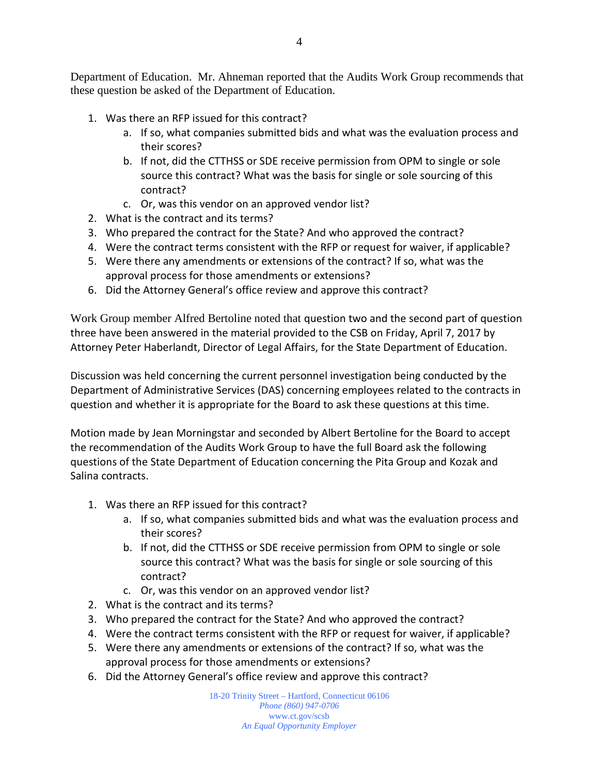- 1. Was there an RFP issued for this contract?
	- a. If so, what companies submitted bids and what was the evaluation process and their scores?
	- b. If not, did the CTTHSS or SDE receive permission from OPM to single or sole source this contract? What was the basis for single or sole sourcing of this contract?
	- c. Or, was this vendor on an approved vendor list?
- 2. What is the contract and its terms?
- 3. Who prepared the contract for the State? And who approved the contract?
- 4. Were the contract terms consistent with the RFP or request for waiver, if applicable?
- 5. Were there any amendments or extensions of the contract? If so, what was the approval process for those amendments or extensions?
- 6. Did the Attorney General's office review and approve this contract?

Work Group member Alfred Bertoline noted that question two and the second part of question three have been answered in the material provided to the CSB on Friday, April 7, 2017 by Attorney Peter Haberlandt, Director of Legal Affairs, for the State Department of Education.

Discussion was held concerning the current personnel investigation being conducted by the Department of Administrative Services (DAS) concerning employees related to the contracts in question and whether it is appropriate for the Board to ask these questions at this time.

Motion made by Jean Morningstar and seconded by Albert Bertoline for the Board to accept the recommendation of the Audits Work Group to have the full Board ask the following questions of the State Department of Education concerning the Pita Group and Kozak and Salina contracts.

- 1. Was there an RFP issued for this contract?
	- a. If so, what companies submitted bids and what was the evaluation process and their scores?
	- b. If not, did the CTTHSS or SDE receive permission from OPM to single or sole source this contract? What was the basis for single or sole sourcing of this contract?
	- c. Or, was this vendor on an approved vendor list?
- 2. What is the contract and its terms?
- 3. Who prepared the contract for the State? And who approved the contract?
- 4. Were the contract terms consistent with the RFP or request for waiver, if applicable?
- 5. Were there any amendments or extensions of the contract? If so, what was the approval process for those amendments or extensions?
- 6. Did the Attorney General's office review and approve this contract?